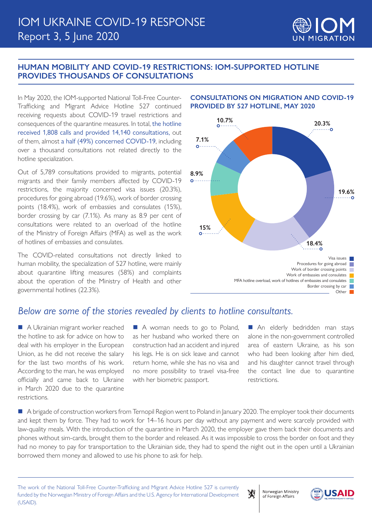### **HUMAN MOBILITY AND COVID-19 RESTRICTIONS: IOM-SUPPORTED HOTLINE PROVIDES THOUSANDS OF CONSULTATIONS**

In May 2020, the IOM-supported National Toll-Free Counter-Trafficking and Migrant Advice Hotline 527 continued receiving requests about COVID-19 travel restrictions and consequences of the quarantine measures. In total, the hotline received 1,808 calls and provided 14,140 consultations, out of them, almost a half (49%) concerned COVID-19, including over a thousand consultations not related directly to the hotline specialization.

Out of 5,789 consultations provided to migrants, potential migrants and their family members affected by COVID-19 restrictions, the majority concerned visa issues (20.3%), procedures for going abroad (19.6%), work of border crossing points (18.4%), work of embassies and consulates (15%), border crossing by car (7.1%). As many as 8.9 per cent of consultations were related to an overload of the hotline of the Ministry of Foreign Affairs (MFA) as well as the work of hotlines of embassies and consulates.

The COVID-related consultations not directly linked to human mobility, the specialization of 527 hotline, were mainly about quarantine lifting measures (58%) and complaints about the operation of the Ministry of Health and other governmental hotlines (22.3%).



#### **CONSULTATIONS ON MIGRATION AND COVID-19 PROVIDED BY 527 HOTLINE, MAY 2020**

# *Below are some of the stories revealed by clients to hotline consultants.*

A Ukrainian migrant worker reached the hotline to ask for advice on how to deal with his employer in the European Union, as he did not receive the salary for the last two months of his work. According to the man, he was employed officially and came back to Ukraine in March 2020 due to the quarantine restrictions.

■ A woman needs to go to Poland, as her husband who worked there on construction had an accident and injured his legs. He is on sick leave and cannot return home, while she has no visa and no more possibility to travel visa-free with her biometric passport.

An elderly bedridden man stays alone in the non-government controlled area of eastern Ukraine, as his son who had been looking after him died, and his daughter cannot travel through the contact line due to quarantine restrictions.

A brigade of construction workers from Ternopil Region went to Poland in January 2020. The employer took their documents and kept them by force. They had to work for 14–16 hours per day without any payment and were scarcely provided with law-quality meals. With the introduction of the quarantine in March 2020, the employer gave them back their documents and phones without sim-cards, brought them to the border and released. As it was impossible to cross the border on foot and they had no money to pay for transportation to the Ukrainian side, they had to spend the night out in the open until a Ukrainian borrowed them money and allowed to use his phone to ask for help.